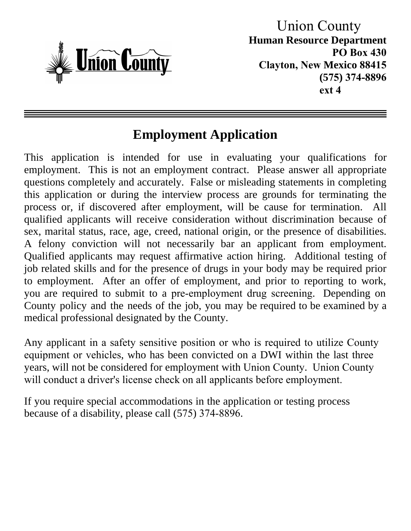

 Union County **Human Resource Department PO Box 430 Clayton, New Mexico 88415 (575) 374-8896 ext 4**

## **Employment Application**

This application is intended for use in evaluating your qualifications for employment. This is not an employment contract. Please answer all appropriate questions completely and accurately. False or misleading statements in completing this application or during the interview process are grounds for terminating the process or, if discovered after employment, will be cause for termination. All qualified applicants will receive consideration without discrimination because of sex, marital status, race, age, creed, national origin, or the presence of disabilities. A felony conviction will not necessarily bar an applicant from employment. Qualified applicants may request affirmative action hiring. Additional testing of job related skills and for the presence of drugs in your body may be required prior to employment. After an offer of employment, and prior to reporting to work, you are required to submit to a pre-employment drug screening. Depending on County policy and the needs of the job, you may be required to be examined by a medical professional designated by the County.

Any applicant in a safety sensitive position or who is required to utilize County equipment or vehicles, who has been convicted on a DWI within the last three years, will not be considered for employment with Union County. Union County will conduct a driver's license check on all applicants before employment.

If you require special accommodations in the application or testing process because of a disability, please call (575) 374-8896.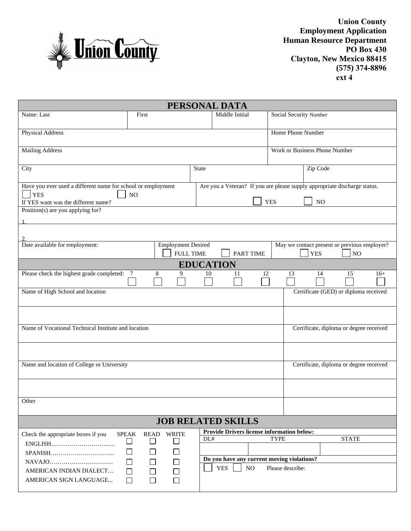

**Union County Employment Application Human Resource Department PO Box 430 Clayton, New Mexico 88415 (575) 374-8896 ext 4**

| Middle Initial<br>Name: Last<br>Social Security Number<br>First<br>Physical Address<br>Home Phone Number<br><b>Mailing Address</b><br>Work or Business Phone Number<br>Zip Code<br>City<br><b>State</b><br>Have you ever used a different name for school or employment<br>Are you a Veteran? If you are please supply appropriate discharge status.<br>$ $ YES<br>N <sub>O</sub><br><b>YES</b><br>NO<br>If YES want was the different name?<br>Position(s) are you applying for?<br>Date available for employment:<br><b>Employment Desired</b><br>May we contact present or previous employer?<br><b>FULL TIME</b><br><b>PART TIME</b><br><b>YES</b><br>NO<br><b>EDUCATION</b><br>Please check the highest grade completed:<br>8<br>10<br>12<br>14<br>15<br>9<br>11<br>13<br>$16+$<br>$\overline{7}$<br>Name of High School and location<br>Certificate (GED) or diploma received<br>Name of Vocational Technical Institute and location<br>Certificate, diploma or degree received<br>Name and location of College or University<br>Certificate, diploma or degree received<br>Other<br><b>JOB RELATED SKILLS</b><br>Provide Drivers license information below:<br>Check the appropriate boxes if you<br><b>SPEAK</b><br><b>READ</b><br><b>WRITE</b><br>DL#<br><b>TYPE</b><br><b>STATE</b><br>$\Box$<br>$\Box$<br>$\Box$<br>$\Box$<br>$\mathsf{L}$<br>$\mathbf{L}$<br>Do you have any current moving violations?<br>$\Box$<br>$\Box$<br>$\Box$<br><b>YES</b><br>$_{\rm NO}$<br>Please describe:<br>AMERICAN INDIAN DIALECT<br>$\Box$<br>$\Box$<br>$\Box$<br>$\Box$<br>AMERICAN SIGN LANGUAGE<br>□<br>$\Box$ |  |  | PERSONAL DATA |  |  |  |  |  |
|----------------------------------------------------------------------------------------------------------------------------------------------------------------------------------------------------------------------------------------------------------------------------------------------------------------------------------------------------------------------------------------------------------------------------------------------------------------------------------------------------------------------------------------------------------------------------------------------------------------------------------------------------------------------------------------------------------------------------------------------------------------------------------------------------------------------------------------------------------------------------------------------------------------------------------------------------------------------------------------------------------------------------------------------------------------------------------------------------------------------------------------------------------------------------------------------------------------------------------------------------------------------------------------------------------------------------------------------------------------------------------------------------------------------------------------------------------------------------------------------------------------------------------------------------------------------------------------------------------------|--|--|---------------|--|--|--|--|--|
|                                                                                                                                                                                                                                                                                                                                                                                                                                                                                                                                                                                                                                                                                                                                                                                                                                                                                                                                                                                                                                                                                                                                                                                                                                                                                                                                                                                                                                                                                                                                                                                                                |  |  |               |  |  |  |  |  |
|                                                                                                                                                                                                                                                                                                                                                                                                                                                                                                                                                                                                                                                                                                                                                                                                                                                                                                                                                                                                                                                                                                                                                                                                                                                                                                                                                                                                                                                                                                                                                                                                                |  |  |               |  |  |  |  |  |
|                                                                                                                                                                                                                                                                                                                                                                                                                                                                                                                                                                                                                                                                                                                                                                                                                                                                                                                                                                                                                                                                                                                                                                                                                                                                                                                                                                                                                                                                                                                                                                                                                |  |  |               |  |  |  |  |  |
|                                                                                                                                                                                                                                                                                                                                                                                                                                                                                                                                                                                                                                                                                                                                                                                                                                                                                                                                                                                                                                                                                                                                                                                                                                                                                                                                                                                                                                                                                                                                                                                                                |  |  |               |  |  |  |  |  |
|                                                                                                                                                                                                                                                                                                                                                                                                                                                                                                                                                                                                                                                                                                                                                                                                                                                                                                                                                                                                                                                                                                                                                                                                                                                                                                                                                                                                                                                                                                                                                                                                                |  |  |               |  |  |  |  |  |
|                                                                                                                                                                                                                                                                                                                                                                                                                                                                                                                                                                                                                                                                                                                                                                                                                                                                                                                                                                                                                                                                                                                                                                                                                                                                                                                                                                                                                                                                                                                                                                                                                |  |  |               |  |  |  |  |  |
|                                                                                                                                                                                                                                                                                                                                                                                                                                                                                                                                                                                                                                                                                                                                                                                                                                                                                                                                                                                                                                                                                                                                                                                                                                                                                                                                                                                                                                                                                                                                                                                                                |  |  |               |  |  |  |  |  |
|                                                                                                                                                                                                                                                                                                                                                                                                                                                                                                                                                                                                                                                                                                                                                                                                                                                                                                                                                                                                                                                                                                                                                                                                                                                                                                                                                                                                                                                                                                                                                                                                                |  |  |               |  |  |  |  |  |
|                                                                                                                                                                                                                                                                                                                                                                                                                                                                                                                                                                                                                                                                                                                                                                                                                                                                                                                                                                                                                                                                                                                                                                                                                                                                                                                                                                                                                                                                                                                                                                                                                |  |  |               |  |  |  |  |  |
|                                                                                                                                                                                                                                                                                                                                                                                                                                                                                                                                                                                                                                                                                                                                                                                                                                                                                                                                                                                                                                                                                                                                                                                                                                                                                                                                                                                                                                                                                                                                                                                                                |  |  |               |  |  |  |  |  |
|                                                                                                                                                                                                                                                                                                                                                                                                                                                                                                                                                                                                                                                                                                                                                                                                                                                                                                                                                                                                                                                                                                                                                                                                                                                                                                                                                                                                                                                                                                                                                                                                                |  |  |               |  |  |  |  |  |
|                                                                                                                                                                                                                                                                                                                                                                                                                                                                                                                                                                                                                                                                                                                                                                                                                                                                                                                                                                                                                                                                                                                                                                                                                                                                                                                                                                                                                                                                                                                                                                                                                |  |  |               |  |  |  |  |  |
|                                                                                                                                                                                                                                                                                                                                                                                                                                                                                                                                                                                                                                                                                                                                                                                                                                                                                                                                                                                                                                                                                                                                                                                                                                                                                                                                                                                                                                                                                                                                                                                                                |  |  |               |  |  |  |  |  |
|                                                                                                                                                                                                                                                                                                                                                                                                                                                                                                                                                                                                                                                                                                                                                                                                                                                                                                                                                                                                                                                                                                                                                                                                                                                                                                                                                                                                                                                                                                                                                                                                                |  |  |               |  |  |  |  |  |
|                                                                                                                                                                                                                                                                                                                                                                                                                                                                                                                                                                                                                                                                                                                                                                                                                                                                                                                                                                                                                                                                                                                                                                                                                                                                                                                                                                                                                                                                                                                                                                                                                |  |  |               |  |  |  |  |  |
|                                                                                                                                                                                                                                                                                                                                                                                                                                                                                                                                                                                                                                                                                                                                                                                                                                                                                                                                                                                                                                                                                                                                                                                                                                                                                                                                                                                                                                                                                                                                                                                                                |  |  |               |  |  |  |  |  |
|                                                                                                                                                                                                                                                                                                                                                                                                                                                                                                                                                                                                                                                                                                                                                                                                                                                                                                                                                                                                                                                                                                                                                                                                                                                                                                                                                                                                                                                                                                                                                                                                                |  |  |               |  |  |  |  |  |
|                                                                                                                                                                                                                                                                                                                                                                                                                                                                                                                                                                                                                                                                                                                                                                                                                                                                                                                                                                                                                                                                                                                                                                                                                                                                                                                                                                                                                                                                                                                                                                                                                |  |  |               |  |  |  |  |  |
|                                                                                                                                                                                                                                                                                                                                                                                                                                                                                                                                                                                                                                                                                                                                                                                                                                                                                                                                                                                                                                                                                                                                                                                                                                                                                                                                                                                                                                                                                                                                                                                                                |  |  |               |  |  |  |  |  |
|                                                                                                                                                                                                                                                                                                                                                                                                                                                                                                                                                                                                                                                                                                                                                                                                                                                                                                                                                                                                                                                                                                                                                                                                                                                                                                                                                                                                                                                                                                                                                                                                                |  |  |               |  |  |  |  |  |
|                                                                                                                                                                                                                                                                                                                                                                                                                                                                                                                                                                                                                                                                                                                                                                                                                                                                                                                                                                                                                                                                                                                                                                                                                                                                                                                                                                                                                                                                                                                                                                                                                |  |  |               |  |  |  |  |  |